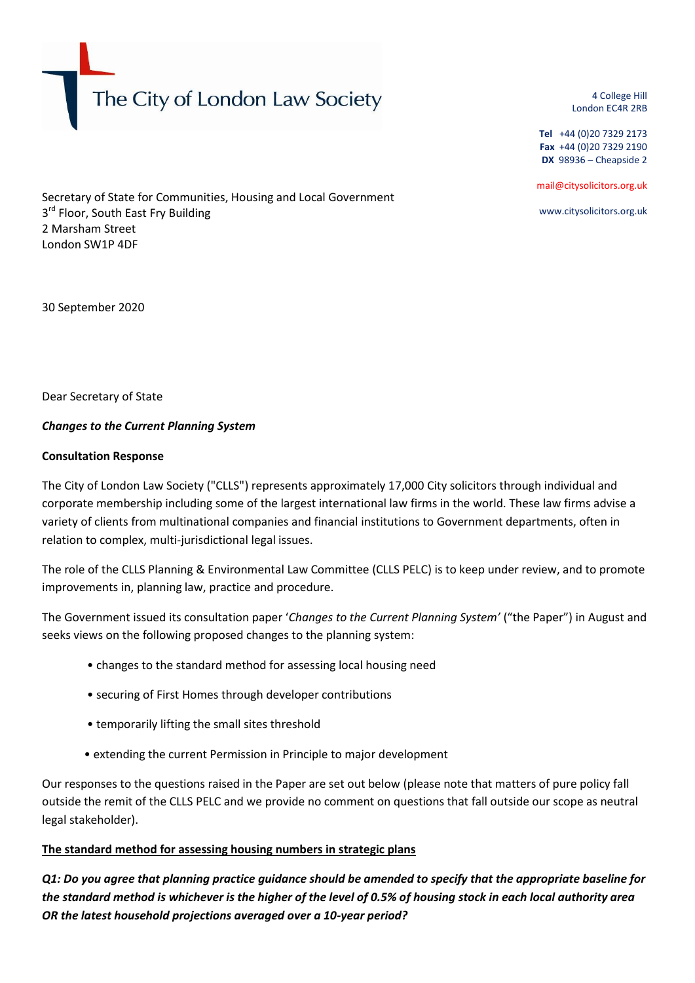The City of London Law Society

4 College Hill London EC4R 2RB

**Tel** +44 (0)20 7329 2173 **Fax** +44 (0)20 7329 2190 **DX** 98936 – Cheapside 2

mail@citysolicitors.org.uk

www.citysolicitors.org.uk

Secretary of State for Communities, Housing and Local Government 3<sup>rd</sup> Floor, South East Fry Building 2 Marsham Street London SW1P 4DF

30 September 2020

Dear Secretary of State

#### *Changes to the Current Planning System*

#### **Consultation Response**

The City of London Law Society ("CLLS") represents approximately 17,000 City solicitors through individual and corporate membership including some of the largest international law firms in the world. These law firms advise a variety of clients from multinational companies and financial institutions to Government departments, often in relation to complex, multi-jurisdictional legal issues.

The role of the CLLS Planning & Environmental Law Committee (CLLS PELC) is to keep under review, and to promote improvements in, planning law, practice and procedure.

The Government issued its consultation paper '*Changes to the Current Planning System'* ("the Paper") in August and seeks views on the following proposed changes to the planning system:

- changes to the standard method for assessing local housing need
- securing of First Homes through developer contributions
- temporarily lifting the small sites threshold
- extending the current Permission in Principle to major development

Our responses to the questions raised in the Paper are set out below (please note that matters of pure policy fall outside the remit of the CLLS PELC and we provide no comment on questions that fall outside our scope as neutral legal stakeholder).

#### **The standard method for assessing housing numbers in strategic plans**

*Q1: Do you agree that planning practice guidance should be amended to specify that the appropriate baseline for the standard method is whichever is the higher of the level of 0.5% of housing stock in each local authority area OR the latest household projections averaged over a 10-year period?*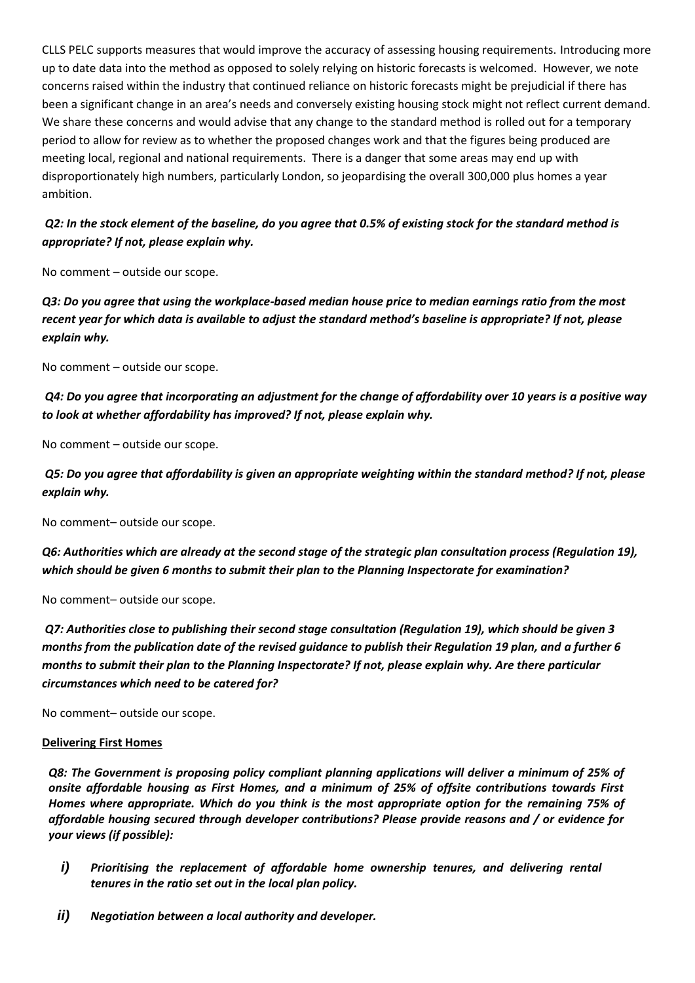CLLS PELC supports measures that would improve the accuracy of assessing housing requirements. Introducing more up to date data into the method as opposed to solely relying on historic forecasts is welcomed. However, we note concerns raised within the industry that continued reliance on historic forecasts might be prejudicial if there has been a significant change in an area's needs and conversely existing housing stock might not reflect current demand. We share these concerns and would advise that any change to the standard method is rolled out for a temporary period to allow for review as to whether the proposed changes work and that the figures being produced are meeting local, regional and national requirements. There is a danger that some areas may end up with disproportionately high numbers, particularly London, so jeopardising the overall 300,000 plus homes a year ambition.

## *Q2: In the stock element of the baseline, do you agree that 0.5% of existing stock for the standard method is appropriate? If not, please explain why.*

No comment – outside our scope.

*Q3: Do you agree that using the workplace-based median house price to median earnings ratio from the most recent year for which data is available to adjust the standard method's baseline is appropriate? If not, please explain why.*

No comment – outside our scope.

## *Q4: Do you agree that incorporating an adjustment for the change of affordability over 10 years is a positive way to look at whether affordability has improved? If not, please explain why.*

No comment – outside our scope.

*Q5: Do you agree that affordability is given an appropriate weighting within the standard method? If not, please explain why.*

No comment– outside our scope.

*Q6: Authorities which are already at the second stage of the strategic plan consultation process (Regulation 19), which should be given 6 months to submit their plan to the Planning Inspectorate for examination?*

No comment– outside our scope.

*Q7: Authorities close to publishing their second stage consultation (Regulation 19), which should be given 3 months from the publication date of the revised guidance to publish their Regulation 19 plan, and a further 6 months to submit their plan to the Planning Inspectorate? If not, please explain why. Are there particular circumstances which need to be catered for?*

No comment– outside our scope.

#### **Delivering First Homes**

*Q8: The Government is proposing policy compliant planning applications will deliver a minimum of 25% of onsite affordable housing as First Homes, and a minimum of 25% of offsite contributions towards First Homes where appropriate. Which do you think is the most appropriate option for the remaining 75% of affordable housing secured through developer contributions? Please provide reasons and / or evidence for your views (if possible):*

- *i) Prioritising the replacement of affordable home ownership tenures, and delivering rental tenures in the ratio set out in the local plan policy.*
- *ii) Negotiation between a local authority and developer.*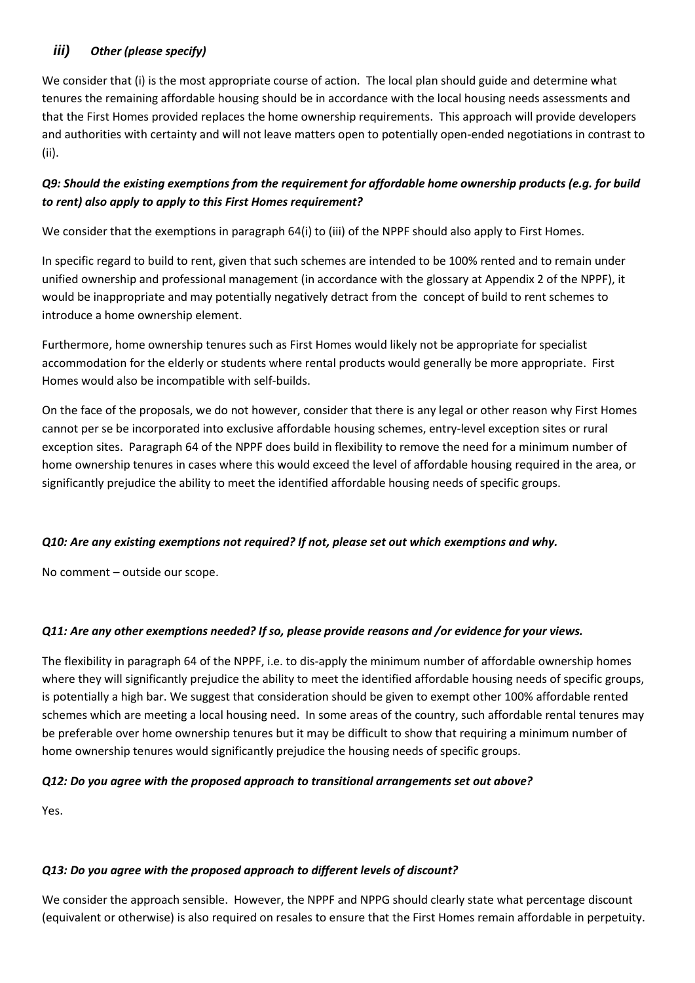# *iii) Other (please specify)*

We consider that (i) is the most appropriate course of action. The local plan should guide and determine what tenures the remaining affordable housing should be in accordance with the local housing needs assessments and that the First Homes provided replaces the home ownership requirements. This approach will provide developers and authorities with certainty and will not leave matters open to potentially open-ended negotiations in contrast to (ii).

# *Q9: Should the existing exemptions from the requirement for affordable home ownership products (e.g. for build to rent) also apply to apply to this First Homes requirement?*

We consider that the exemptions in paragraph 64(i) to (iii) of the NPPF should also apply to First Homes.

In specific regard to build to rent, given that such schemes are intended to be 100% rented and to remain under unified ownership and professional management (in accordance with the glossary at Appendix 2 of the NPPF), it would be inappropriate and may potentially negatively detract from the concept of build to rent schemes to introduce a home ownership element.

Furthermore, home ownership tenures such as First Homes would likely not be appropriate for specialist accommodation for the elderly or students where rental products would generally be more appropriate. First Homes would also be incompatible with self-builds.

On the face of the proposals, we do not however, consider that there is any legal or other reason why First Homes cannot per se be incorporated into exclusive affordable housing schemes, entry-level exception sites or rural exception sites. Paragraph 64 of the NPPF does build in flexibility to remove the need for a minimum number of home ownership tenures in cases where this would exceed the level of affordable housing required in the area, or significantly prejudice the ability to meet the identified affordable housing needs of specific groups.

## *Q10: Are any existing exemptions not required? If not, please set out which exemptions and why.*

No comment – outside our scope.

## *Q11: Are any other exemptions needed? If so, please provide reasons and /or evidence for your views.*

The flexibility in paragraph 64 of the NPPF, i.e. to dis-apply the minimum number of affordable ownership homes where they will significantly prejudice the ability to meet the identified affordable housing needs of specific groups, is potentially a high bar. We suggest that consideration should be given to exempt other 100% affordable rented schemes which are meeting a local housing need. In some areas of the country, such affordable rental tenures may be preferable over home ownership tenures but it may be difficult to show that requiring a minimum number of home ownership tenures would significantly prejudice the housing needs of specific groups.

## *Q12: Do you agree with the proposed approach to transitional arrangements set out above?*

Yes.

#### *Q13: Do you agree with the proposed approach to different levels of discount?*

We consider the approach sensible. However, the NPPF and NPPG should clearly state what percentage discount (equivalent or otherwise) is also required on resales to ensure that the First Homes remain affordable in perpetuity.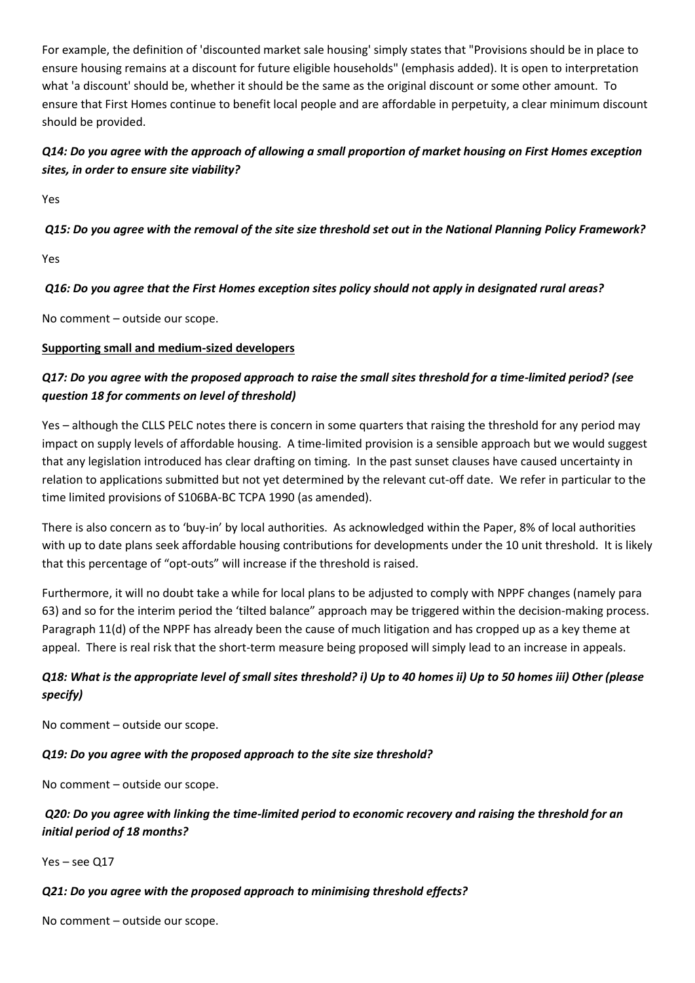For example, the definition of 'discounted market sale housing' simply states that "Provisions should be in place to ensure housing remains at a discount for future eligible households" (emphasis added). It is open to interpretation what 'a discount' should be, whether it should be the same as the original discount or some other amount. To ensure that First Homes continue to benefit local people and are affordable in perpetuity, a clear minimum discount should be provided.

# *Q14: Do you agree with the approach of allowing a small proportion of market housing on First Homes exception sites, in order to ensure site viability?*

Yes

## *Q15: Do you agree with the removal of the site size threshold set out in the National Planning Policy Framework?*

Yes

## *Q16: Do you agree that the First Homes exception sites policy should not apply in designated rural areas?*

No comment – outside our scope.

#### **Supporting small and medium-sized developers**

# *Q17: Do you agree with the proposed approach to raise the small sites threshold for a time-limited period? (see question 18 for comments on level of threshold)*

Yes – although the CLLS PELC notes there is concern in some quarters that raising the threshold for any period may impact on supply levels of affordable housing. A time-limited provision is a sensible approach but we would suggest that any legislation introduced has clear drafting on timing. In the past sunset clauses have caused uncertainty in relation to applications submitted but not yet determined by the relevant cut-off date. We refer in particular to the time limited provisions of S106BA-BC TCPA 1990 (as amended).

There is also concern as to 'buy-in' by local authorities. As acknowledged within the Paper, 8% of local authorities with up to date plans seek affordable housing contributions for developments under the 10 unit threshold. It is likely that this percentage of "opt-outs" will increase if the threshold is raised.

Furthermore, it will no doubt take a while for local plans to be adjusted to comply with NPPF changes (namely para 63) and so for the interim period the 'tilted balance" approach may be triggered within the decision-making process. Paragraph 11(d) of the NPPF has already been the cause of much litigation and has cropped up as a key theme at appeal. There is real risk that the short-term measure being proposed will simply lead to an increase in appeals.

# *Q18: What is the appropriate level of small sites threshold? i) Up to 40 homes ii) Up to 50 homes iii) Other (please specify)*

No comment – outside our scope.

## *Q19: Do you agree with the proposed approach to the site size threshold?*

No comment – outside our scope.

# *Q20: Do you agree with linking the time-limited period to economic recovery and raising the threshold for an initial period of 18 months?*

Yes – see Q17

## *Q21: Do you agree with the proposed approach to minimising threshold effects?*

No comment – outside our scope.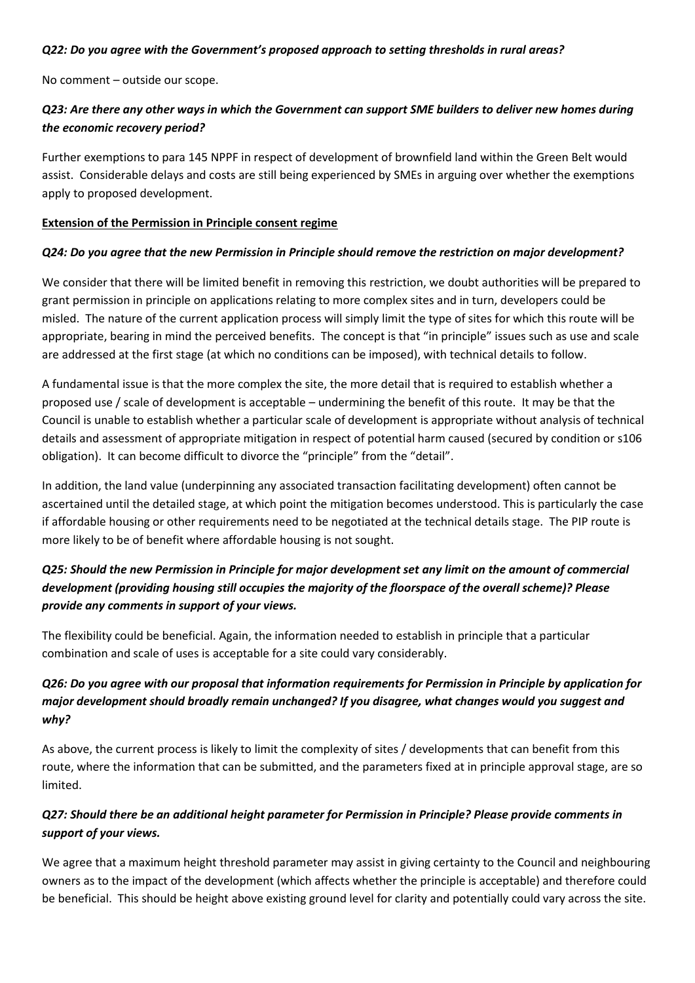#### *Q22: Do you agree with the Government's proposed approach to setting thresholds in rural areas?*

No comment – outside our scope.

## *Q23: Are there any other ways in which the Government can support SME builders to deliver new homes during the economic recovery period?*

Further exemptions to para 145 NPPF in respect of development of brownfield land within the Green Belt would assist. Considerable delays and costs are still being experienced by SMEs in arguing over whether the exemptions apply to proposed development.

#### **Extension of the Permission in Principle consent regime**

#### *Q24: Do you agree that the new Permission in Principle should remove the restriction on major development?*

We consider that there will be limited benefit in removing this restriction, we doubt authorities will be prepared to grant permission in principle on applications relating to more complex sites and in turn, developers could be misled. The nature of the current application process will simply limit the type of sites for which this route will be appropriate, bearing in mind the perceived benefits. The concept is that "in principle" issues such as use and scale are addressed at the first stage (at which no conditions can be imposed), with technical details to follow.

A fundamental issue is that the more complex the site, the more detail that is required to establish whether a proposed use / scale of development is acceptable – undermining the benefit of this route. It may be that the Council is unable to establish whether a particular scale of development is appropriate without analysis of technical details and assessment of appropriate mitigation in respect of potential harm caused (secured by condition or s106 obligation). It can become difficult to divorce the "principle" from the "detail".

In addition, the land value (underpinning any associated transaction facilitating development) often cannot be ascertained until the detailed stage, at which point the mitigation becomes understood. This is particularly the case if affordable housing or other requirements need to be negotiated at the technical details stage. The PIP route is more likely to be of benefit where affordable housing is not sought.

# *Q25: Should the new Permission in Principle for major development set any limit on the amount of commercial development (providing housing still occupies the majority of the floorspace of the overall scheme)? Please provide any comments in support of your views.*

The flexibility could be beneficial. Again, the information needed to establish in principle that a particular combination and scale of uses is acceptable for a site could vary considerably.

# *Q26: Do you agree with our proposal that information requirements for Permission in Principle by application for major development should broadly remain unchanged? If you disagree, what changes would you suggest and why?*

As above, the current process is likely to limit the complexity of sites / developments that can benefit from this route, where the information that can be submitted, and the parameters fixed at in principle approval stage, are so limited.

# *Q27: Should there be an additional height parameter for Permission in Principle? Please provide comments in support of your views.*

We agree that a maximum height threshold parameter may assist in giving certainty to the Council and neighbouring owners as to the impact of the development (which affects whether the principle is acceptable) and therefore could be beneficial. This should be height above existing ground level for clarity and potentially could vary across the site.